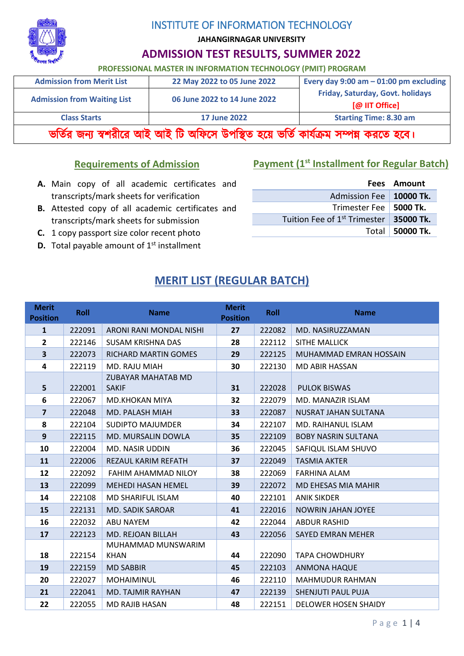

**JAHANGIRNAGAR UNIVERSITY**

# **ADMISSION TEST RESULTS, SUMMER 2022**

#### **PROFESSIONAL MASTER IN INFORMATION TECHNOLOGY (PMIT) PROGRAM**

| <b>Admission from Merit List</b>                                                   | 22 May 2022 to 05 June 2022      | Every day 9:00 am $-$ 01:00 pm excluding |  |  |  |
|------------------------------------------------------------------------------------|----------------------------------|------------------------------------------|--|--|--|
| <b>Admission from Waiting List</b>                                                 | Friday, Saturday, Govt. holidays |                                          |  |  |  |
|                                                                                    | [@ IIT Office]                   |                                          |  |  |  |
| <b>Starting Time: 8.30 am</b><br><b>Class Starts</b><br><b>17 June 2022</b>        |                                  |                                          |  |  |  |
| ভর্তির জন্য স্বশরীরে আই আই টি অফিসে উপস্থিত হয়ে ভর্তি কার্যক্রম সম্পন্ন করতে হবে। |                                  |                                          |  |  |  |

#### **Requirements of Admission**

# **Payment (1st Installment for Regular Batch)**

- **A.** Main copy of all academic certificates and transcripts/mark sheets for verification
- **B.** Attested copy of all academic certificates and transcripts/mark sheets for submission
- **C.** 1 copy passport size color recent photo
- **D.** Total payable amount of 1<sup>st</sup> installment

|                                                    | Fees Amount     |
|----------------------------------------------------|-----------------|
| Admission Fee   10000 Tk.                          |                 |
| Trimester Fee   5000 Tk.                           |                 |
| Tuition Fee of 1 <sup>st</sup> Trimester 35000 Tk. |                 |
|                                                    | Total 50000 Tk. |

# **MERIT LIST (REGULAR BATCH)**

| <b>Merit</b><br><b>Position</b> | <b>Roll</b> | <b>Name</b>                | Merit<br><b>Position</b> | <b>Roll</b> | <b>Name</b>                |
|---------------------------------|-------------|----------------------------|--------------------------|-------------|----------------------------|
| $\mathbf{1}$                    | 222091      | ARONI RANI MONDAL NISHI    | 27                       | 222082      | MD. NASIRUZZAMAN           |
| $\mathbf{2}$                    | 222146      | <b>SUSAM KRISHNA DAS</b>   | 28                       | 222112      | SITHE MALLICK              |
| 3                               | 222073      | RICHARD MARTIN GOMES       | 29                       | 222125      | MUHAMMAD EMRAN HOSSAIN     |
| 4                               | 222119      | MD. RAJU MIAH              | 30                       | 222130      | MD ABIR HASSAN             |
|                                 |             | <b>ZUBAYAR MAHATAB MD</b>  |                          |             |                            |
| 5                               | 222001      | <b>SAKIF</b>               | 31                       | 222028      | <b>PULOK BISWAS</b>        |
| 6                               | 222067      | MD.KHOKAN MIYA             | 32                       | 222079      | MD. MANAZIR ISLAM          |
| $\overline{7}$                  | 222048      | MD. PALASH MIAH            | 33                       | 222087      | NUSRAT JAHAN SULTANA       |
| 8                               | 222104      | <b>SUDIPTO MAJUMDER</b>    | 34                       | 222107      | MD. RAIHANUL ISLAM         |
| 9                               | 222115      | MD. MURSALIN DOWLA         | 35                       | 222109      | <b>BOBY NASRIN SULTANA</b> |
| 10                              | 222004      | MD. NASIR UDDIN            | 36                       | 222045      | SAFIQUL ISLAM SHUVO        |
| 11                              | 222006      | <b>REZAUL KARIM REFATH</b> | 37                       | 222049      | <b>TASMIA AKTER</b>        |
| 12                              | 222092      | FAHIM AHAMMAD NILOY        | 38                       | 222069      | FARHINA ALAM               |
| 13                              | 222099      | <b>MEHEDI HASAN HEMEL</b>  | 39                       | 222072      | MD EHESAS MIA MAHIR        |
| 14                              | 222108      | MD SHARIFUL ISLAM          | 40                       | 222101      | <b>ANIK SIKDER</b>         |
| 15                              | 222131      | <b>MD. SADIK SAROAR</b>    | 41                       | 222016      | <b>NOWRIN JAHAN JOYEE</b>  |
| 16                              | 222032      | ABU NAYEM                  | 42                       | 222044      | <b>ABDUR RASHID</b>        |
| 17                              | 222123      | <b>MD. REJOAN BILLAH</b>   | 43                       | 222056      | <b>SAYED EMRAN MEHER</b>   |
|                                 |             | MUHAMMAD MUNSWARIM         |                          |             |                            |
| 18                              | 222154      | <b>KHAN</b>                | 44                       | 222090      | <b>TAPA CHOWDHURY</b>      |
| 19                              | 222159      | <b>MD SABBIR</b>           | 45                       | 222103      | <b>ANMONA HAQUE</b>        |
| 20                              | 222027      | <b>MOHAIMINUL</b>          | 46                       | 222110      | <b>MAHMUDUR RAHMAN</b>     |
| 21                              | 222041      | <b>MD. TAJMIR RAYHAN</b>   | 47                       | 222139      | SHENJUTI PAUL PUJA         |
| 22                              | 222055      | <b>MD RAJIB HASAN</b>      | 48                       | 222151      | DELOWER HOSEN SHAIDY       |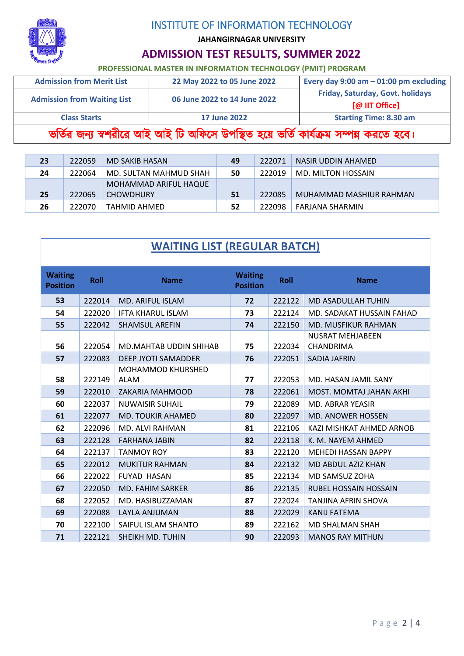

**JAHANGIRNAGAR UNIVERSITY**

# **ADMISSION TEST RESULTS, SUMMER 2022**

# **PROFESSIONAL MASTER IN INFORMATION TECHNOLOGY (PMIT) PROGRAM**

| <b>Admission from Merit List</b>                                                   | 22 May 2022 to 05 June 2022  | Every day 9:00 am $-$ 01:00 pm excluding<br>Friday, Saturday, Govt. holidays |  |  |  |
|------------------------------------------------------------------------------------|------------------------------|------------------------------------------------------------------------------|--|--|--|
| <b>Admission from Waiting List</b>                                                 | 06 June 2022 to 14 June 2022 |                                                                              |  |  |  |
|                                                                                    | [@ IIT Office]               |                                                                              |  |  |  |
| <b>Starting Time: 8.30 am</b><br><b>Class Starts</b><br><b>17 June 2022</b>        |                              |                                                                              |  |  |  |
| ভর্তির জন্য স্বশরীরে আই আই টি অফিসে উপস্থিত হয়ে ভর্তি কার্যক্রম সম্পন্ন করতে হবে। |                              |                                                                              |  |  |  |

| 23              | 222059 | MD SAKIB HASAN         | 49 | -222071 | NASIR UDDIN AHAMED      |
|-----------------|--------|------------------------|----|---------|-------------------------|
| 24              | 222064 | MD. SULTAN MAHMUD SHAH | 50 | 222019  | MD. MILTON HOSSAIN      |
|                 |        | MOHAMMAD ARIFUL HAQUE  |    |         |                         |
| 25 <sub>1</sub> | 222065 | <b>CHOWDHURY</b>       | 51 | 222085  | MUHAMMAD MASHIUR RAHMAN |
| 26              | 222070 | TAHMID AHMED           | 52 | 222098  | FARJANA SHARMIN         |

| <b>WAITING LIST (REGULAR BATCH)</b> |
|-------------------------------------|
|-------------------------------------|

| <b>Waiting</b><br><b>Position</b> | <b>Roll</b> | <b>Name</b>                             | <b>Waiting</b><br><b>Position</b> | <b>Roll</b> | <b>Name</b>                          |
|-----------------------------------|-------------|-----------------------------------------|-----------------------------------|-------------|--------------------------------------|
| 53                                | 222014      | <b>MD. ARIFUL ISLAM</b>                 | 72                                | 222122      | <b>MD ASADULLAH TUHIN</b>            |
| 54                                | 222020      | <b>IFTA KHARUL ISLAM</b>                | 73                                | 222124      | MD. SADAKAT HUSSAIN FAHAD            |
| 55                                | 222042      | <b>SHAMSUL AREFIN</b>                   | 74                                | 222150      | <b>MD. MUSFIKUR RAHMAN</b>           |
| 56                                | 222054      | MD.MAHTAB UDDIN SHIHAB                  | 75                                | 222034      | <b>NUSRAT MEHJABEEN</b><br>CHANDRIMA |
| 57                                | 222083      | <b>DEEP JYOTI SAMADDER</b>              | 76                                | 222051      | <b>SADIA JAFRIN</b>                  |
| 58                                | 222149      | <b>MOHAMMOD KHURSHED</b><br><b>ALAM</b> | 77                                | 222053      | MD. HASAN JAMIL SANY                 |
| 59                                | 222010      | <b>ZAKARIA MAHMOOD</b>                  | 78                                | 222061      | MOST. MOMTAJ JAHAN AKHI              |
| 60                                | 222037      | <b>NUWAISIR SUHAIL</b>                  | 79                                | 222089      | <b>MD. ABRAR YEASIR</b>              |
| 61                                | 222077      | <b>MD. TOUKIR AHAMED</b>                | 80                                | 222097      | <b>MD. ANOWER HOSSEN</b>             |
| 62                                | 222096      | MD. ALVI RAHMAN                         | 81                                | 222106      | KAZI MISHKAT AHMED ARNOB             |
| 63                                | 222128      | <b>FARHANA JABIN</b>                    | 82                                | 222118      | K. M. NAYEM AHMED                    |
| 64                                | 222137      | <b>TANMOY ROY</b>                       | 83                                | 222120      | <b>MEHEDI HASSAN BAPPY</b>           |
| 65                                | 222012      | <b>MUKITUR RAHMAN</b>                   | 84                                | 222132      | MD ABDUL AZIZ KHAN                   |
| 66                                | 222022      | <b>FUYAD HASAN</b>                      | 85                                | 222134      | MD SAMSUZ ZOHA                       |
| 67                                | 222050      | <b>MD. FAHIM SARKER</b>                 | 86                                | 222135      | RUBEL HOSSAIN HOSSAIN                |
| 68                                | 222052      | MD. HASIBUZZAMAN                        | 87                                | 222024      | TANJINA AFRIN SHOVA                  |
| 69                                | 222088      | LAYLA ANJUMAN                           | 88                                | 222029      | <b>KANIJ FATEMA</b>                  |
| 70                                | 222100      | SAIFUL ISLAM SHANTO                     | 89                                | 222162      | <b>MD SHALMAN SHAH</b>               |
| 71                                | 222121      | SHEIKH MD. TUHIN                        | 90                                | 222093      | <b>MANOS RAY MITHUN</b>              |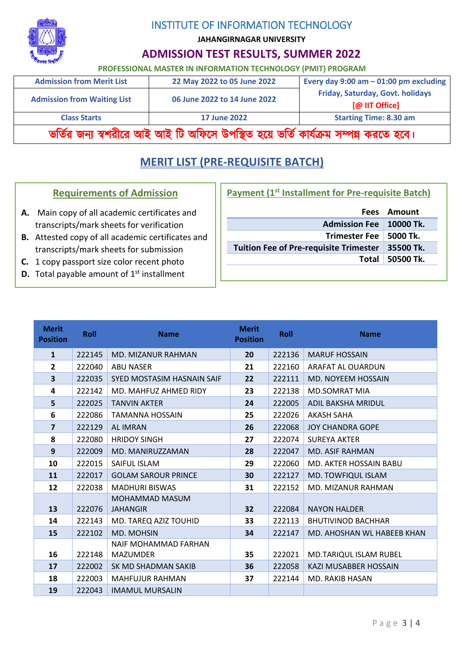

**JAHANGIRNAGAR UNIVERSITY**

### **ADMISSION TEST RESULTS, SUMMER 2022**

**PROFESSIONAL MASTER IN INFORMATION TECHNOLOGY (PMIT) PROGRAM**

| <b>Admission from Merit List</b>                                                                                         | 22 May 2022 to 05 June 2022 | Every day 9:00 am $-$ 01:00 pm excluding |  |  |
|--------------------------------------------------------------------------------------------------------------------------|-----------------------------|------------------------------------------|--|--|
| Friday, Saturday, Govt. holidays<br><b>Admission from Waiting List</b><br>06 June 2022 to 14 June 2022<br>[@ IIT Office] |                             |                                          |  |  |
| <b>Starting Time: 8.30 am</b><br><b>Class Starts</b><br><b>17 June 2022</b>                                              |                             |                                          |  |  |
| ভৰ্তির জন্য স্বশরীরে আই আই টি অফিসে উপস্থিত হয়ে ভর্তি কার্যক্রম সম্পন্ন করতে হবে।                                       |                             |                                          |  |  |

# **MERIT LIST (PRE-REQUISITE BATCH)**

#### **Requirements of Admission**

- **A.** Main copy of all academic certificates and transcripts/mark sheets for verification
- **B.** Attested copy of all academic certificates and transcripts/mark sheets for submission
- **C.** 1 copy passport size color recent photo
- **D.** Total payable amount of 1<sup>st</sup> installment

|                                                    | Fees Amount     |
|----------------------------------------------------|-----------------|
| Admission Fee   10000 Tk.                          |                 |
| Trimester Fee   5000 Tk.                           |                 |
| Tuition Fee of Pre-requisite Trimester   35500 Tk. |                 |
|                                                    | Total 50500 Tk. |

| <b>Merit</b><br><b>Position</b> | <b>Roll</b> | <b>Name</b>                              | <b>Merit</b><br><b>Position</b> | Roll   | <b>Name</b>                   |
|---------------------------------|-------------|------------------------------------------|---------------------------------|--------|-------------------------------|
| $\mathbf{1}$                    | 222145      | MD. MIZANUR RAHMAN                       | 20                              | 222136 | <b>MARUF HOSSAIN</b>          |
| $\overline{2}$                  | 222040      | <b>ABU NASER</b>                         | 21                              | 222160 | ARAFAT AL OUARDUN             |
| 3                               | 222035      | SYED MOSTASIM HASNAIN SAIF               | 22                              | 222111 | MD. NOYEEM HOSSAIN            |
| 4                               | 222142      | MD. MAHFUZ AHMED RIDY                    | 23                              | 222138 | <b>MD.SOMRAT MIA</b>          |
| 5                               | 222025      | <b>TANVIN AKTER</b>                      | 24                              | 222005 | ADIL BAKSHA MRIDUL            |
| 6                               | 222086      | TAMANNA HOSSAIN                          | 25                              | 222026 | <b>AKASH SAHA</b>             |
| $\overline{7}$                  | 222129      | <b>AL IMRAN</b>                          | 26                              | 222068 | <b>JOY CHANDRA GOPE</b>       |
| 8                               | 222080      | <b>HRIDOY SINGH</b>                      | 27                              | 222074 | <b>SUREYA AKTER</b>           |
| 9                               | 222009      | MD. MANIRUZZAMAN                         | 28                              | 222047 | <b>MD. ASIF RAHMAN</b>        |
| 10                              | 222015      | SAIFUL ISLAM                             | 29                              | 222060 | <b>MD. AKTER HOSSAIN BABU</b> |
| 11                              | 222017      | <b>GOLAM SAROUR PRINCE</b>               | 30                              | 222127 | MD. TOWFIQUL ISLAM            |
| 12                              | 222038      | <b>MADHURI BISWAS</b>                    | 31                              | 222152 | <b>MD. MIZANUR RAHMAN</b>     |
| 13                              | 222076      | <b>MOHAMMAD MASUM</b><br><b>JAHANGIR</b> | 32                              | 222084 | <b>NAYON HALDER</b>           |
| 14                              | 222143      | MD. TAREQ AZIZ TOUHID                    | 33                              | 222113 | <b>BHUTIVINOD BACHHAR</b>     |
| 15                              | 222102      | <b>MD. MOHSIN</b>                        | 34                              | 222147 | MD. AHOSHAN WL HABEEB KHAN    |
|                                 |             | NAIF MOHAMMAD FARHAN                     |                                 |        |                               |
| 16                              | 222148      | <b>MAZUMDER</b>                          | 35                              | 222021 | MD.TARIQUL ISLAM RUBEL        |
| 17                              | 222002      | SK MD SHADMAN SAKIB                      | 36                              | 222058 | <b>KAZI MUSABBER HOSSAIN</b>  |
| 18                              | 222003      | <b>MAHFUJUR RAHMAN</b>                   | 37                              | 222144 | MD. RAKIB HASAN               |
| 19                              | 222043      | <b>IMAMUL MURSALIN</b>                   |                                 |        |                               |

|  | Payment (1 <sup>st</sup> Installment for Pre-requisite Batch) |  |  |
|--|---------------------------------------------------------------|--|--|
|  |                                                               |  |  |